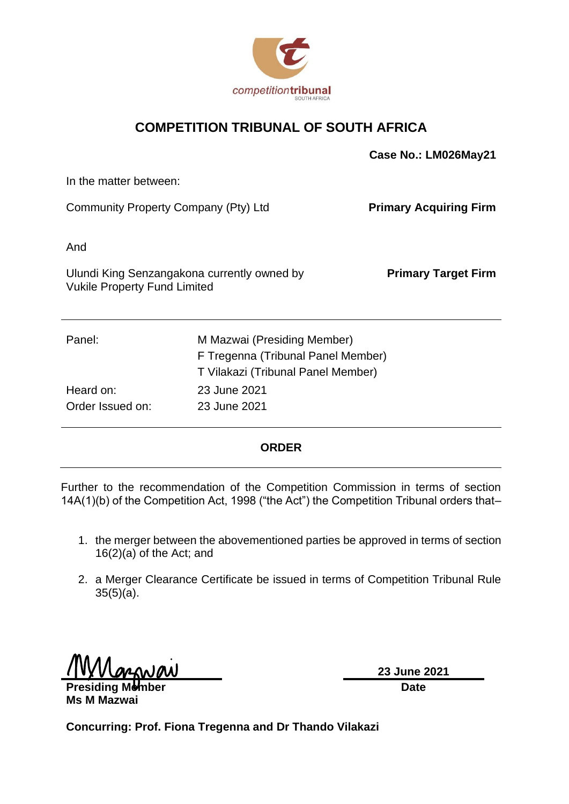

### **COMPETITION TRIBUNAL OF SOUTH AFRICA**

|                                      |                                             | Case No.: LM026May21          |
|--------------------------------------|---------------------------------------------|-------------------------------|
| In the matter between:               |                                             |                               |
| Community Property Company (Pty) Ltd |                                             | <b>Primary Acquiring Firm</b> |
| And                                  |                                             |                               |
| <b>Vukile Property Fund Limited</b>  | Ulundi King Senzangakona currently owned by | <b>Primary Target Firm</b>    |
| Panel:                               | M Mazwai (Presiding Member)                 |                               |
|                                      | F Tregenna (Tribunal Panel Member)          |                               |
|                                      | T Vilakazi (Tribunal Panel Member)          |                               |
| Heard on:                            | 23 June 2021                                |                               |

#### **ORDER**

Further to the recommendation of the Competition Commission in terms of section 14A(1)(b) of the Competition Act, 1998 ("the Act") the Competition Tribunal orders that–

- 1. the merger between the abovementioned parties be approved in terms of section 16(2)(a) of the Act; and
- 2. a Merger Clearance Certificate be issued in terms of Competition Tribunal Rule  $35(5)(a)$ .

Order Issued on: 23 June 2021

**Presiding Member Ms M Mazwai**

**23 June 2021 Date**

**Concurring: Prof. Fiona Tregenna and Dr Thando Vilakazi**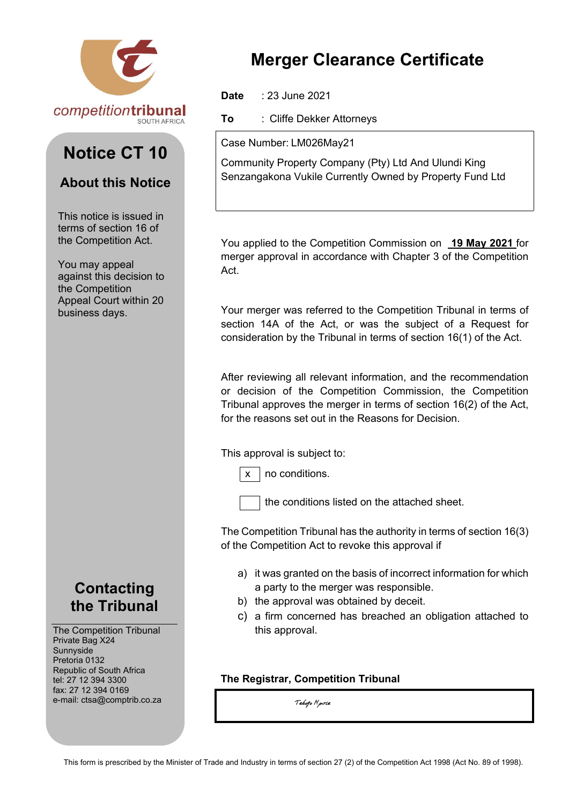

# **Notice CT 10**

## **About this Notice**

This notice is issued in terms of section 16 of the Competition Act.

You may appeal against this decision to the Competition Appeal Court within 20 business days.

## **Contacting the Tribunal**

The Competition Tribunal Private Bag X24 Sunnyside Pretoria 0132 Republic of South Africa tel: 27 12 394 3300 fax: 27 12 394 0169 e-mail: ctsa@comptrib.co.za

# **Merger Clearance Certificate**

**Date** : 23 June 2021

**To** : Cliffe Dekker Attorneys

Case Number: LM026May21

Community Property Company (Pty) Ltd And Ulundi King Senzangakona Vukile Currently Owned by Property Fund Ltd

You applied to the Competition Commission on **19 May 2021** for merger approval in accordance with Chapter 3 of the Competition Act.

Your merger was referred to the Competition Tribunal in terms of section 14A of the Act, or was the subject of a Request for consideration by the Tribunal in terms of section 16(1) of the Act.

After reviewing all relevant information, and the recommendation or decision of the Competition Commission, the Competition Tribunal approves the merger in terms of section 16(2) of the Act, for the reasons set out in the Reasons for Decision.

This approval is subject to:

 $x \mid$  no conditions.

the conditions listed on the attached sheet.

The Competition Tribunal has the authority in terms of section 16(3) of the Competition Act to revoke this approval if

- a) it was granted on the basis of incorrect information for which a party to the merger was responsible.
- b) the approval was obtained by deceit.
- c) a firm concerned has breached an obligation attached to this approval.

### **The Registrar, Competition Tribunal**

Tebogo Hpirle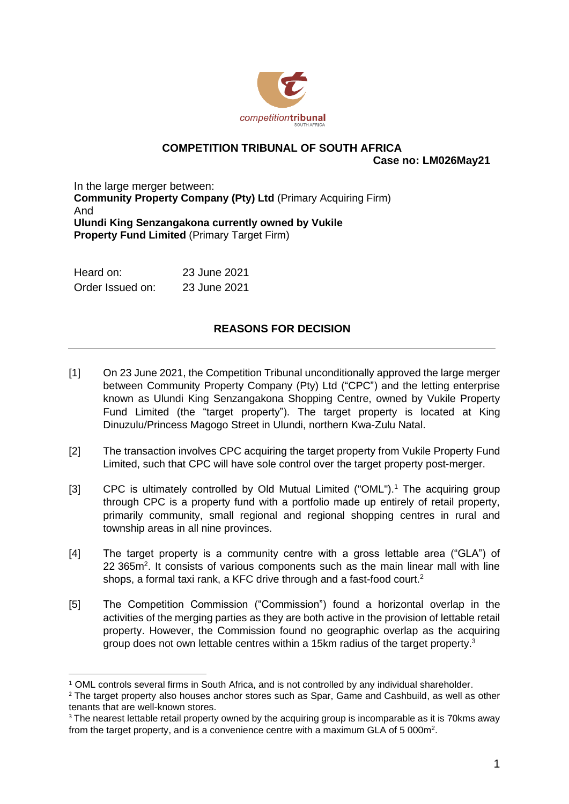

## **COMPETITION TRIBUNAL OF SOUTH AFRICA**

**Case no: LM026May21**

In the large merger between: **Community Property Company (Pty) Ltd** (Primary Acquiring Firm) And **Ulundi King Senzangakona currently owned by Vukile Property Fund Limited** (Primary Target Firm)

| Heard on:        | 23 June 2021 |
|------------------|--------------|
| Order Issued on: | 23 June 2021 |

### **REASONS FOR DECISION**

- [1] On 23 June 2021, the Competition Tribunal unconditionally approved the large merger between Community Property Company (Pty) Ltd ("CPC") and the letting enterprise known as Ulundi King Senzangakona Shopping Centre, owned by Vukile Property Fund Limited (the "target property"). The target property is located at King Dinuzulu/Princess Magogo Street in Ulundi, northern Kwa-Zulu Natal.
- [2] The transaction involves CPC acquiring the target property from Vukile Property Fund Limited, such that CPC will have sole control over the target property post-merger.
- [3] CPC is ultimately controlled by Old Mutual Limited ("OML").<sup>1</sup> The acquiring group through CPC is a property fund with a portfolio made up entirely of retail property, primarily community, small regional and regional shopping centres in rural and township areas in all nine provinces.
- [4] The target property is a community centre with a gross lettable area ("GLA") of 22 365m<sup>2</sup>. It consists of various components such as the main linear mall with line shops, a formal taxi rank, a KFC drive through and a fast-food court.<sup>2</sup>
- [5] The Competition Commission ("Commission") found a horizontal overlap in the activities of the merging parties as they are both active in the provision of lettable retail property. However, the Commission found no geographic overlap as the acquiring group does not own lettable centres within a 15km radius of the target property.<sup>3</sup>

<sup>1</sup> OML controls several firms in South Africa, and is not controlled by any individual shareholder.

<sup>&</sup>lt;sup>2</sup> The target property also houses anchor stores such as Spar, Game and Cashbuild, as well as other tenants that are well-known stores.

<sup>&</sup>lt;sup>3</sup> The nearest lettable retail property owned by the acquiring group is incomparable as it is 70kms away from the target property, and is a convenience centre with a maximum GLA of 5 000m<sup>2</sup>.